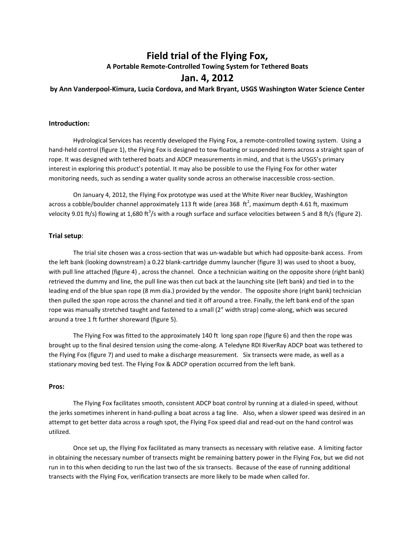# **Field trial of the Flying Fox, A Portable Remote-Controlled Towing System for Tethered Boats**

# **Jan. 4, 2012**

**by Ann Vanderpool-Kimura, Lucia Cordova, and Mark Bryant, USGS Washington Water Science Center**

# **Introduction:**

Hydrological Services has recently developed the Flying Fox, a remote-controlled towing system. Using a hand-held control (figure 1), the Flying Fox is designed to tow floating or suspended items across a straight span of rope. It was designed with tethered boats and ADCP measurements in mind, and that is the USGS's primary interest in exploring this product's potential. It may also be possible to use the Flying Fox for other water monitoring needs, such as sending a water quality sonde across an otherwise inaccessible cross-section.

On January 4, 2012, the Flying Fox prototype was used at the White River near Buckley, Washington across a cobble/boulder channel approximately 113 ft wide (area 368  $\,$ ft $^2$ , maximum depth 4.61 ft, maximum velocity 9.01 ft/s) flowing at 1,680 ft<sup>3</sup>/s with a rough surface and surface velocities between 5 and 8 ft/s (figure 2).

#### **Trial setup**:

The trial site chosen was a cross-section that was un-wadable but which had opposite-bank access. From the left bank (looking downstream) a 0.22 blank-cartridge dummy launcher (figure 3) was used to shoot a buoy, with pull line attached (figure 4), across the channel. Once a technician waiting on the opposite shore (right bank) retrieved the dummy and line, the pull line was then cut back at the launching site (left bank) and tied in to the leading end of the blue span rope (8 mm dia.) provided by the vendor. The opposite shore (right bank) technician then pulled the span rope across the channel and tied it off around a tree. Finally, the left bank end of the span rope was manually stretched taught and fastened to a small (2" width strap) come-along, which was secured around a tree 1 ft further shoreward (figure 5).

The Flying Fox was fitted to the approximately 140 ft long span rope (figure 6) and then the rope was brought up to the final desired tension using the come-along. A Teledyne RDI RiverRay ADCP boat was tethered to the Flying Fox (figure 7) and used to make a discharge measurement. Six transects were made, as well as a stationary moving bed test. The Flying Fox & ADCP operation occurred from the left bank.

#### **Pros:**

The Flying Fox facilitates smooth, consistent ADCP boat control by running at a dialed-in speed, without the jerks sometimes inherent in hand-pulling a boat across a tag line. Also, when a slower speed was desired in an attempt to get better data across a rough spot, the Flying Fox speed dial and read-out on the hand control was utilized.

Once set up, the Flying Fox facilitated as many transects as necessary with relative ease. A limiting factor in obtaining the necessary number of transects might be remaining battery power in the Flying Fox, but we did not run in to this when deciding to run the last two of the six transects. Because of the ease of running additional transects with the Flying Fox, verification transects are more likely to be made when called for.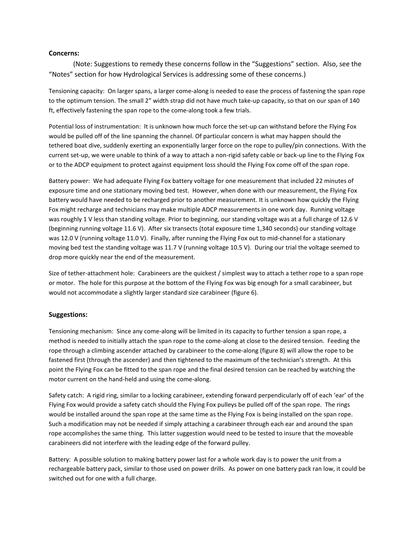### **Concerns:**

(Note: Suggestions to remedy these concerns follow in the "Suggestions" section. Also, see the "Notes" section for how Hydrological Services is addressing some of these concerns.)

Tensioning capacity: On larger spans, a larger come-along is needed to ease the process of fastening the span rope to the optimum tension. The small 2" width strap did not have much take-up capacity, so that on our span of 140 ft, effectively fastening the span rope to the come-along took a few trials.

Potential loss of instrumentation: It is unknown how much force the set-up can withstand before the Flying Fox would be pulled off of the line spanning the channel. Of particular concern is what may happen should the tethered boat dive, suddenly exerting an exponentially larger force on the rope to pulley/pin connections. With the current set-up, we were unable to think of a way to attach a non-rigid safety cable or back-up line to the Flying Fox or to the ADCP equipment to protect against equipment loss should the Flying Fox come off of the span rope.

Battery power: We had adequate Flying Fox battery voltage for one measurement that included 22 minutes of exposure time and one stationary moving bed test. However, when done with our measurement, the Flying Fox battery would have needed to be recharged prior to another measurement. It is unknown how quickly the Flying Fox might recharge and technicians may make multiple ADCP measurements in one work day. Running voltage was roughly 1 V less than standing voltage. Prior to beginning, our standing voltage was at a full charge of 12.6 V (beginning running voltage 11.6 V). After six transects (total exposure time 1,340 seconds) our standing voltage was 12.0 V (running voltage 11.0 V). Finally, after running the Flying Fox out to mid-channel for a stationary moving bed test the standing voltage was 11.7 V (running voltage 10.5 V). During our trial the voltage seemed to drop more quickly near the end of the measurement.

Size of tether-attachment hole: Carabineers are the quickest / simplest way to attach a tether rope to a span rope or motor. The hole for this purpose at the bottom of the Flying Fox was big enough for a small carabineer, but would not accommodate a slightly larger standard size carabineer (figure 6).

# **Suggestions:**

Tensioning mechanism: Since any come-along will be limited in its capacity to further tension a span rope, a method is needed to initially attach the span rope to the come-along at close to the desired tension. Feeding the rope through a climbing ascender attached by carabineer to the come-along (figure 8) will allow the rope to be fastened first (through the ascender) and then tightened to the maximum of the technician's strength. At this point the Flying Fox can be fitted to the span rope and the final desired tension can be reached by watching the motor current on the hand-held and using the come-along.

Safety catch: A rigid ring, similar to a locking carabineer, extending forward perpendicularly off of each 'ear' of the Flying Fox would provide a safety catch should the Flying Fox pulleys be pulled off of the span rope. The rings would be installed around the span rope at the same time as the Flying Fox is being installed on the span rope. Such a modification may not be needed if simply attaching a carabineer through each ear and around the span rope accomplishes the same thing. This latter suggestion would need to be tested to insure that the moveable carabineers did not interfere with the leading edge of the forward pulley.

Battery: A possible solution to making battery power last for a whole work day is to power the unit from a rechargeable battery pack, similar to those used on power drills. As power on one battery pack ran low, it could be switched out for one with a full charge.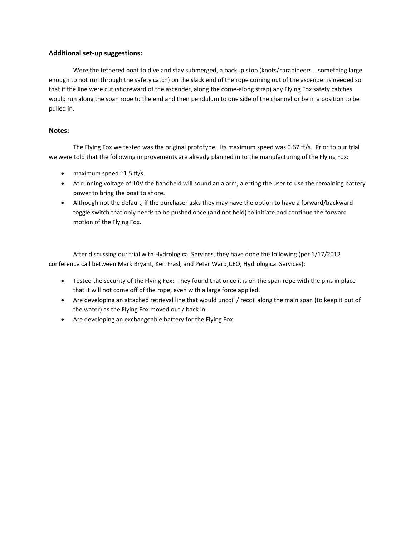# **Additional set-up suggestions:**

Were the tethered boat to dive and stay submerged, a backup stop (knots/carabineers .. something large enough to not run through the safety catch) on the slack end of the rope coming out of the ascender is needed so that if the line were cut (shoreward of the ascender, along the come-along strap) any Flying Fox safety catches would run along the span rope to the end and then pendulum to one side of the channel or be in a position to be pulled in.

# **Notes:**

The Flying Fox we tested was the original prototype. Its maximum speed was 0.67 ft/s. Prior to our trial we were told that the following improvements are already planned in to the manufacturing of the Flying Fox:

- $\bullet$  maximum speed  $\sim$ 1.5 ft/s.
- At running voltage of 10V the handheld will sound an alarm, alerting the user to use the remaining battery power to bring the boat to shore.
- Although not the default, if the purchaser asks they may have the option to have a forward/backward toggle switch that only needs to be pushed once (and not held) to initiate and continue the forward motion of the Flying Fox.

After discussing our trial with Hydrological Services, they have done the following (per 1/17/2012 conference call between Mark Bryant, Ken Frasl, and Peter Ward,CEO, Hydrological Services):

- Tested the security of the Flying Fox: They found that once it is on the span rope with the pins in place that it will not come off of the rope, even with a large force applied.
- Are developing an attached retrieval line that would uncoil / recoil along the main span (to keep it out of the water) as the Flying Fox moved out / back in.
- Are developing an exchangeable battery for the Flying Fox.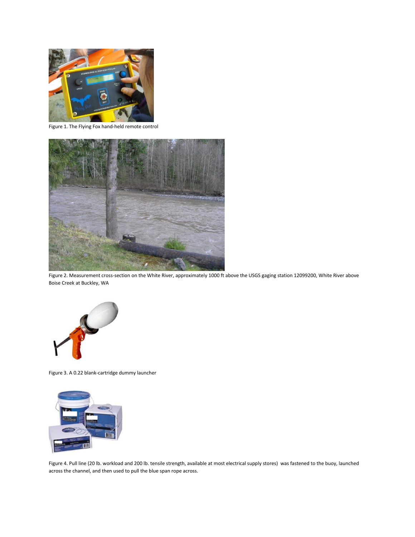

Figure 1. The Flying Fox hand-held remote control



Figure 2. Measurement cross-section on the White River, approximately 1000 ft above the USGS gaging station 12099200, White River above Boise Creek at Buckley, WA



Figure 3. A 0.22 blank-cartridge dummy launcher



Figure 4. Pull line (20 lb. workload and 200 lb. tensile strength, available at most electrical supply stores) was fastened to the buoy, launched across the channel, and then used to pull the blue span rope across.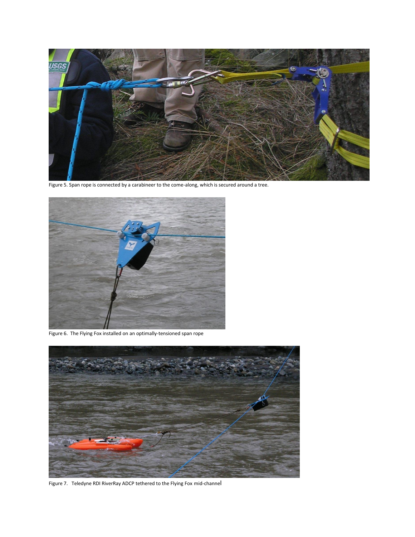

Figure 5. Span rope is connected by a carabineer to the come-along, which is secured around a tree.



Figure 6. The Flying Fox installed on an optimally-tensioned span rope



Figure 7. Teledyne RDI RiverRay ADCP tethered to the Flying Fox mid-channel